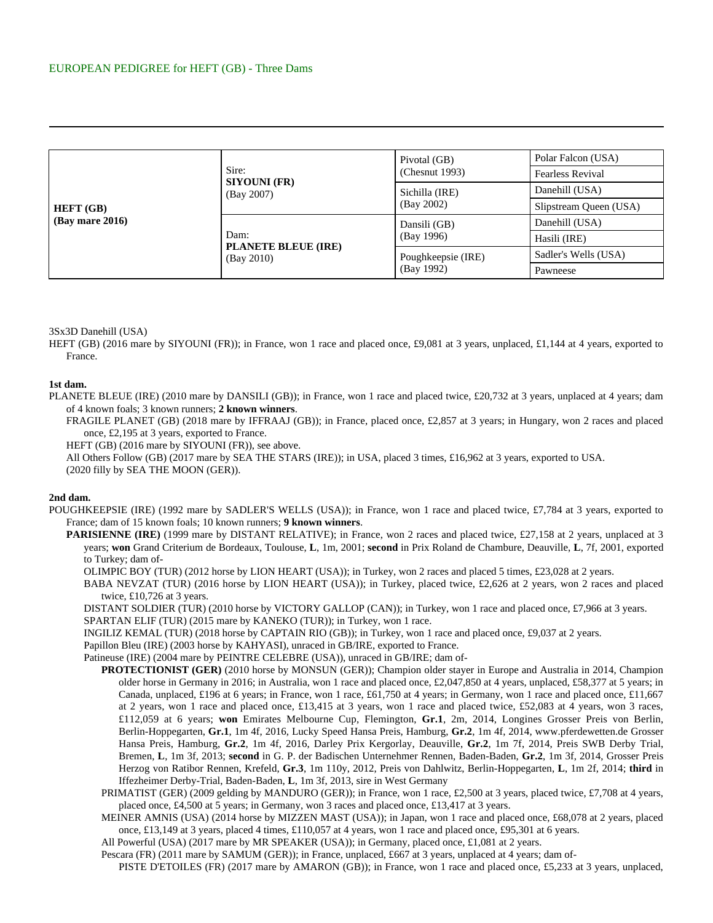| <b>HEFT</b> (GB)<br>$(Bav$ mare 2016) | Sire:<br><b>SIYOUNI (FR)</b><br>(Bay 2007)       | Pivotal (GB)<br>(Chesnut 1993)   | Polar Falcon (USA)      |
|---------------------------------------|--------------------------------------------------|----------------------------------|-------------------------|
|                                       |                                                  |                                  | <b>Fearless Revival</b> |
|                                       |                                                  | Sichilla (IRE)<br>(Bay 2002)     | Danehill (USA)          |
|                                       |                                                  |                                  | Slipstream Queen (USA)  |
|                                       | Dam:<br><b>PLANETE BLEUE (IRE)</b><br>(Bay 2010) | Dansili (GB)<br>(Bay 1996)       | Danehill (USA)          |
|                                       |                                                  |                                  | Hasili (IRE)            |
|                                       |                                                  | Poughkeepsie (IRE)<br>(Bay 1992) | Sadler's Wells (USA)    |
|                                       |                                                  |                                  | Pawneese                |

## 3Sx3D Danehill (USA)

HEFT (GB) (2016 mare by SIYOUNI (FR)); in France, won 1 race and placed once, £9,081 at 3 years, unplaced, £1,144 at 4 years, exported to France.

## **1st dam.**

PLANETE BLEUE (IRE) (2010 mare by DANSILI (GB)); in France, won 1 race and placed twice, £20,732 at 3 years, unplaced at 4 years; dam of 4 known foals; 3 known runners; **2 known winners**.

FRAGILE PLANET (GB) (2018 mare by IFFRAAJ (GB)); in France, placed once, £2,857 at 3 years; in Hungary, won 2 races and placed once, £2,195 at 3 years, exported to France.

HEFT (GB) (2016 mare by SIYOUNI (FR)), see above.

All Others Follow (GB) (2017 mare by SEA THE STARS (IRE)); in USA, placed 3 times, £16,962 at 3 years, exported to USA. (2020 filly by SEA THE MOON (GER)).

## **2nd dam.**

- POUGHKEEPSIE (IRE) (1992 mare by SADLER'S WELLS (USA)); in France, won 1 race and placed twice, £7,784 at 3 years, exported to France; dam of 15 known foals; 10 known runners; **9 known winners**.
	- **PARISIENNE (IRE)** (1999 mare by DISTANT RELATIVE); in France, won 2 races and placed twice, £27,158 at 2 years, unplaced at 3 years; **won** Grand Criterium de Bordeaux, Toulouse, **L**, 1m, 2001; **second** in Prix Roland de Chambure, Deauville, **L**, 7f, 2001, exported to Turkey; dam of-
		- OLIMPIC BOY (TUR) (2012 horse by LION HEART (USA)); in Turkey, won 2 races and placed 5 times, £23,028 at 2 years.
		- BABA NEVZAT (TUR) (2016 horse by LION HEART (USA)); in Turkey, placed twice, £2,626 at 2 years, won 2 races and placed twice,  $£10,726$  at 3 years.
		- DISTANT SOLDIER (TUR) (2010 horse by VICTORY GALLOP (CAN)); in Turkey, won 1 race and placed once, £7,966 at 3 years. SPARTAN ELIF (TUR) (2015 mare by KANEKO (TUR)); in Turkey, won 1 race.
		- INGILIZ KEMAL (TUR) (2018 horse by CAPTAIN RIO (GB)); in Turkey, won 1 race and placed once, £9,037 at 2 years.
		- Papillon Bleu (IRE) (2003 horse by KAHYASI), unraced in GB/IRE, exported to France.
		- Patineuse (IRE) (2004 mare by PEINTRE CELEBRE (USA)), unraced in GB/IRE; dam of-
			- **PROTECTIONIST (GER)** (2010 horse by MONSUN (GER)); Champion older stayer in Europe and Australia in 2014, Champion older horse in Germany in 2016; in Australia, won 1 race and placed once, £2,047,850 at 4 years, unplaced, £58,377 at 5 years; in Canada, unplaced, £196 at 6 years; in France, won 1 race, £61,750 at 4 years; in Germany, won 1 race and placed once, £11,667 at 2 years, won 1 race and placed once, £13,415 at 3 years, won 1 race and placed twice, £52,083 at 4 years, won 3 races, £112,059 at 6 years; **won** Emirates Melbourne Cup, Flemington, **Gr.1**, 2m, 2014, Longines Grosser Preis von Berlin, Berlin-Hoppegarten, **Gr.1**, 1m 4f, 2016, Lucky Speed Hansa Preis, Hamburg, **Gr.2**, 1m 4f, 2014, www.pferdewetten.de Grosser Hansa Preis, Hamburg, **Gr.2**, 1m 4f, 2016, Darley Prix Kergorlay, Deauville, **Gr.2**, 1m 7f, 2014, Preis SWB Derby Trial, Bremen, **L**, 1m 3f, 2013; **second** in G. P. der Badischen Unternehmer Rennen, Baden-Baden, **Gr.2**, 1m 3f, 2014, Grosser Preis Herzog von Ratibor Rennen, Krefeld, **Gr.3**, 1m 110y, 2012, Preis von Dahlwitz, Berlin-Hoppegarten, **L**, 1m 2f, 2014; **third** in Iffezheimer Derby-Trial, Baden-Baden, **L**, 1m 3f, 2013, sire in West Germany
			- PRIMATIST (GER) (2009 gelding by MANDURO (GER)); in France, won 1 race, £2,500 at 3 years, placed twice, £7,708 at 4 years, placed once, £4,500 at 5 years; in Germany, won 3 races and placed once, £13,417 at 3 years.
			- MEINER AMNIS (USA) (2014 horse by MIZZEN MAST (USA)); in Japan, won 1 race and placed once, £68,078 at 2 years, placed once, £13,149 at 3 years, placed 4 times, £110,057 at 4 years, won 1 race and placed once, £95,301 at 6 years.
			- All Powerful (USA) (2017 mare by MR SPEAKER (USA)); in Germany, placed once, £1,081 at 2 years.
			- Pescara (FR) (2011 mare by SAMUM (GER)); in France, unplaced, £667 at 3 years, unplaced at 4 years; dam of-

PISTE D'ETOILES (FR) (2017 mare by AMARON (GB)); in France, won 1 race and placed once, £5,233 at 3 years, unplaced,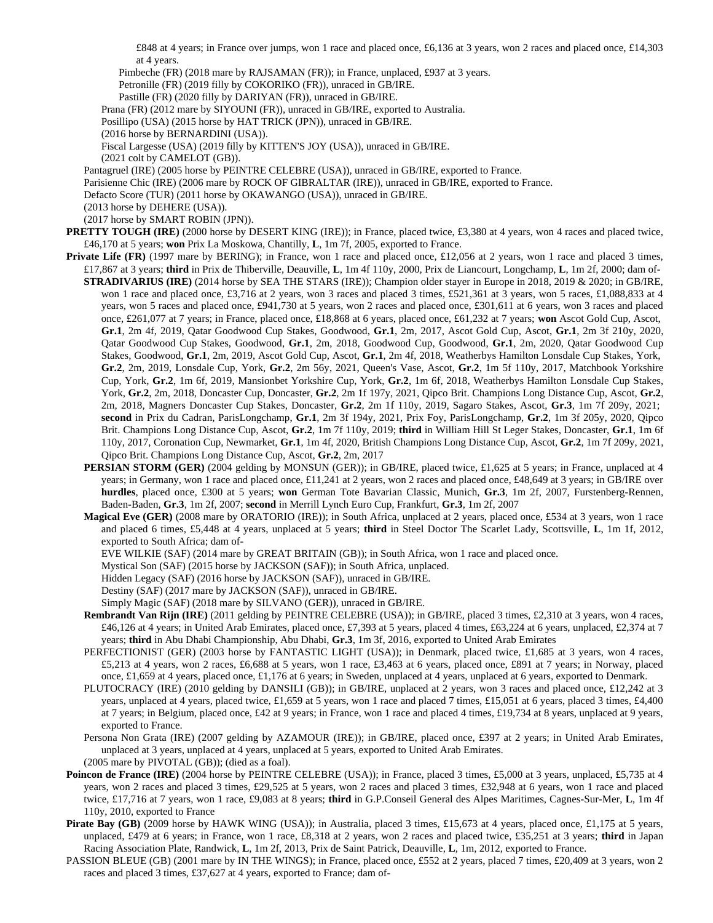£848 at 4 years; in France over jumps, won 1 race and placed once, £6,136 at 3 years, won 2 races and placed once, £14,303 at 4 years.

Pimbeche (FR) (2018 mare by RAJSAMAN (FR)); in France, unplaced, £937 at 3 years.

Petronille (FR) (2019 filly by COKORIKO (FR)), unraced in GB/IRE.

Pastille (FR) (2020 filly by DARIYAN (FR)), unraced in GB/IRE.

Prana (FR) (2012 mare by SIYOUNI (FR)), unraced in GB/IRE, exported to Australia.

Posillipo (USA) (2015 horse by HAT TRICK (JPN)), unraced in GB/IRE.

(2016 horse by BERNARDINI (USA)).

Fiscal Largesse (USA) (2019 filly by KITTEN'S JOY (USA)), unraced in GB/IRE.

(2021 colt by CAMELOT (GB)).

Pantagruel (IRE) (2005 horse by PEINTRE CELEBRE (USA)), unraced in GB/IRE, exported to France.

Parisienne Chic (IRE) (2006 mare by ROCK OF GIBRALTAR (IRE)), unraced in GB/IRE, exported to France.

Defacto Score (TUR) (2011 horse by OKAWANGO (USA)), unraced in GB/IRE.

(2013 horse by DEHERE (USA)).

(2017 horse by SMART ROBIN (JPN)).

- **PRETTY TOUGH (IRE)** (2000 horse by DESERT KING (IRE)); in France, placed twice, £3,380 at 4 years, won 4 races and placed twice, £46,170 at 5 years; **won** Prix La Moskowa, Chantilly, **L**, 1m 7f, 2005, exported to France.
- Private Life (FR) (1997 mare by BERING); in France, won 1 race and placed once, £12,056 at 2 years, won 1 race and placed 3 times, £17,867 at 3 years; **third** in Prix de Thiberville, Deauville, **L**, 1m 4f 110y, 2000, Prix de Liancourt, Longchamp, **L**, 1m 2f, 2000; dam of-**STRADIVARIUS (IRE)** (2014 horse by SEA THE STARS (IRE)); Champion older stayer in Europe in 2018, 2019 & 2020; in GB/IRE, won 1 race and placed once, £3,716 at 2 years, won 3 races and placed 3 times, £521,361 at 3 years, won 5 races, £1,088,833 at 4 years, won 5 races and placed once, £941,730 at 5 years, won 2 races and placed once, £301,611 at 6 years, won 3 races and placed once, £261,077 at 7 years; in France, placed once, £18,868 at 6 years, placed once, £61,232 at 7 years; **won** Ascot Gold Cup, Ascot, **Gr.1**, 2m 4f, 2019, Qatar Goodwood Cup Stakes, Goodwood, **Gr.1**, 2m, 2017, Ascot Gold Cup, Ascot, **Gr.1**, 2m 3f 210y, 2020, Qatar Goodwood Cup Stakes, Goodwood, **Gr.1**, 2m, 2018, Goodwood Cup, Goodwood, **Gr.1**, 2m, 2020, Qatar Goodwood Cup Stakes, Goodwood, **Gr.1**, 2m, 2019, Ascot Gold Cup, Ascot, **Gr.1**, 2m 4f, 2018, Weatherbys Hamilton Lonsdale Cup Stakes, York, **Gr.2**, 2m, 2019, Lonsdale Cup, York, **Gr.2**, 2m 56y, 2021, Queen's Vase, Ascot, **Gr.2**, 1m 5f 110y, 2017, Matchbook Yorkshire Cup, York, **Gr.2**, 1m 6f, 2019, Mansionbet Yorkshire Cup, York, **Gr.2**, 1m 6f, 2018, Weatherbys Hamilton Lonsdale Cup Stakes, York, **Gr.2**, 2m, 2018, Doncaster Cup, Doncaster, **Gr.2**, 2m 1f 197y, 2021, Qipco Brit. Champions Long Distance Cup, Ascot, **Gr.2**, 2m, 2018, Magners Doncaster Cup Stakes, Doncaster, **Gr.2**, 2m 1f 110y, 2019, Sagaro Stakes, Ascot, **Gr.3**, 1m 7f 209y, 2021; **second** in Prix du Cadran, ParisLongchamp, **Gr.1**, 2m 3f 194y, 2021, Prix Foy, ParisLongchamp, **Gr.2**, 1m 3f 205y, 2020, Qipco Brit. Champions Long Distance Cup, Ascot, **Gr.2**, 1m 7f 110y, 2019; **third** in William Hill St Leger Stakes, Doncaster, **Gr.1**, 1m 6f 110y, 2017, Coronation Cup, Newmarket, **Gr.1**, 1m 4f, 2020, British Champions Long Distance Cup, Ascot, **Gr.2**, 1m 7f 209y, 2021, Qipco Brit. Champions Long Distance Cup, Ascot, **Gr.2**, 2m, 2017
	- **PERSIAN STORM (GER)** (2004 gelding by MONSUN (GER)); in GB/IRE, placed twice, £1,625 at 5 years; in France, unplaced at 4 years; in Germany, won 1 race and placed once, £11,241 at 2 years, won 2 races and placed once, £48,649 at 3 years; in GB/IRE over **hurdles**, placed once, £300 at 5 years; **won** German Tote Bavarian Classic, Munich, **Gr.3**, 1m 2f, 2007, Furstenberg-Rennen, Baden-Baden, **Gr.3**, 1m 2f, 2007; **second** in Merrill Lynch Euro Cup, Frankfurt, **Gr.3**, 1m 2f, 2007
	- **Magical Eve (GER)** (2008 mare by ORATORIO (IRE)); in South Africa, unplaced at 2 years, placed once, £534 at 3 years, won 1 race and placed 6 times, £5,448 at 4 years, unplaced at 5 years; **third** in Steel Doctor The Scarlet Lady, Scottsville, **L**, 1m 1f, 2012, exported to South Africa; dam of-

EVE WILKIE (SAF) (2014 mare by GREAT BRITAIN (GB)); in South Africa, won 1 race and placed once.

Mystical Son (SAF) (2015 horse by JACKSON (SAF)); in South Africa, unplaced.

Hidden Legacy (SAF) (2016 horse by JACKSON (SAF)), unraced in GB/IRE.

Destiny (SAF) (2017 mare by JACKSON (SAF)), unraced in GB/IRE.

- Simply Magic (SAF) (2018 mare by SILVANO (GER)), unraced in GB/IRE.
- **Rembrandt Van Rijn (IRE)** (2011 gelding by PEINTRE CELEBRE (USA)); in GB/IRE, placed 3 times, £2,310 at 3 years, won 4 races, £46,126 at 4 years; in United Arab Emirates, placed once, £7,393 at 5 years, placed 4 times, £63,224 at 6 years, unplaced, £2,374 at 7 years; **third** in Abu Dhabi Championship, Abu Dhabi, **Gr.3**, 1m 3f, 2016, exported to United Arab Emirates
- PERFECTIONIST (GER) (2003 horse by FANTASTIC LIGHT (USA)); in Denmark, placed twice, £1,685 at 3 years, won 4 races, £5,213 at 4 years, won 2 races, £6,688 at 5 years, won 1 race, £3,463 at 6 years, placed once, £891 at 7 years; in Norway, placed once, £1,659 at 4 years, placed once, £1,176 at 6 years; in Sweden, unplaced at 4 years, unplaced at 6 years, exported to Denmark.
- PLUTOCRACY (IRE) (2010 gelding by DANSILI (GB)); in GB/IRE, unplaced at 2 years, won 3 races and placed once, £12,242 at 3 years, unplaced at 4 years, placed twice, £1,659 at 5 years, won 1 race and placed 7 times, £15,051 at 6 years, placed 3 times, £4,400 at 7 years; in Belgium, placed once, £42 at 9 years; in France, won 1 race and placed 4 times, £19,734 at 8 years, unplaced at 9 years, exported to France.
- Persona Non Grata (IRE) (2007 gelding by AZAMOUR (IRE)); in GB/IRE, placed once, £397 at 2 years; in United Arab Emirates, unplaced at 3 years, unplaced at 4 years, unplaced at 5 years, exported to United Arab Emirates.

(2005 mare by PIVOTAL (GB)); (died as a foal).

- Poincon de France (IRE) (2004 horse by PEINTRE CELEBRE (USA)); in France, placed 3 times, £5,000 at 3 years, unplaced, £5,735 at 4 years, won 2 races and placed 3 times, £29,525 at 5 years, won 2 races and placed 3 times, £32,948 at 6 years, won 1 race and placed twice, £17,716 at 7 years, won 1 race, £9,083 at 8 years; **third** in G.P.Conseil General des Alpes Maritimes, Cagnes-Sur-Mer, **L**, 1m 4f 110y, 2010, exported to France
- **Pirate Bay (GB)** (2009 horse by HAWK WING (USA)); in Australia, placed 3 times, £15,673 at 4 years, placed once, £1,175 at 5 years, unplaced, £479 at 6 years; in France, won 1 race, £8,318 at 2 years, won 2 races and placed twice, £35,251 at 3 years; **third** in Japan Racing Association Plate, Randwick, **L**, 1m 2f, 2013, Prix de Saint Patrick, Deauville, **L**, 1m, 2012, exported to France.
- PASSION BLEUE (GB) (2001 mare by IN THE WINGS); in France, placed once, £552 at 2 years, placed 7 times, £20,409 at 3 years, won 2 races and placed 3 times, £37,627 at 4 years, exported to France; dam of-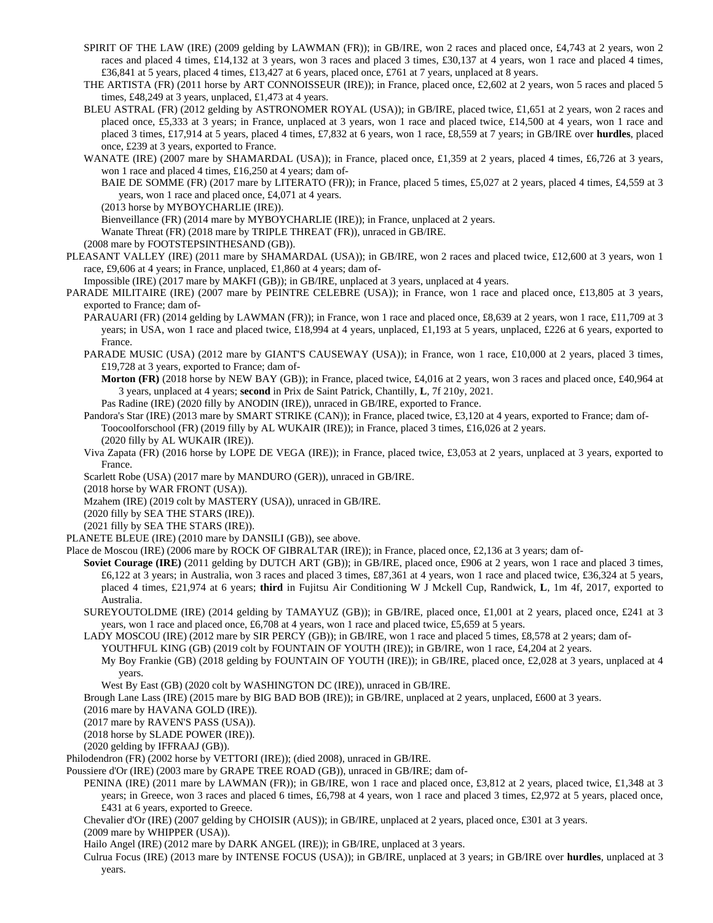- SPIRIT OF THE LAW (IRE) (2009 gelding by LAWMAN (FR)); in GB/IRE, won 2 races and placed once, £4,743 at 2 years, won 2 races and placed 4 times, £14,132 at 3 years, won 3 races and placed 3 times, £30,137 at 4 years, won 1 race and placed 4 times, £36,841 at 5 years, placed 4 times, £13,427 at 6 years, placed once, £761 at 7 years, unplaced at 8 years.
- THE ARTISTA (FR) (2011 horse by ART CONNOISSEUR (IRE)); in France, placed once, £2,602 at 2 years, won 5 races and placed 5 times, £48,249 at 3 years, unplaced, £1,473 at 4 years.
- BLEU ASTRAL (FR) (2012 gelding by ASTRONOMER ROYAL (USA)); in GB/IRE, placed twice, £1,651 at 2 years, won 2 races and placed once, £5,333 at 3 years; in France, unplaced at 3 years, won 1 race and placed twice, £14,500 at 4 years, won 1 race and placed 3 times, £17,914 at 5 years, placed 4 times, £7,832 at 6 years, won 1 race, £8,559 at 7 years; in GB/IRE over **hurdles**, placed once, £239 at 3 years, exported to France.
- WANATE (IRE) (2007 mare by SHAMARDAL (USA)); in France, placed once, £1,359 at 2 years, placed 4 times, £6,726 at 3 years, won 1 race and placed 4 times, £16,250 at 4 years; dam of-

BAIE DE SOMME (FR) (2017 mare by LITERATO (FR)); in France, placed 5 times, £5,027 at 2 years, placed 4 times, £4,559 at 3 years, won 1 race and placed once, £4,071 at 4 years.

(2013 horse by MYBOYCHARLIE (IRE)).

Bienveillance (FR) (2014 mare by MYBOYCHARLIE (IRE)); in France, unplaced at 2 years.

Wanate Threat (FR) (2018 mare by TRIPLE THREAT (FR)), unraced in GB/IRE.

(2008 mare by FOOTSTEPSINTHESAND (GB)).

PLEASANT VALLEY (IRE) (2011 mare by SHAMARDAL (USA)); in GB/IRE, won 2 races and placed twice, £12,600 at 3 years, won 1 race, £9,606 at 4 years; in France, unplaced, £1,860 at 4 years; dam of-

Impossible (IRE) (2017 mare by MAKFI (GB)); in GB/IRE, unplaced at 3 years, unplaced at 4 years.

- PARADE MILITAIRE (IRE) (2007 mare by PEINTRE CELEBRE (USA)); in France, won 1 race and placed once, £13,805 at 3 years, exported to France; dam of-
	- PARAUARI (FR) (2014 gelding by LAWMAN (FR)); in France, won 1 race and placed once, £8,639 at 2 years, won 1 race, £11,709 at 3 years; in USA, won 1 race and placed twice, £18,994 at 4 years, unplaced, £1,193 at 5 years, unplaced, £226 at 6 years, exported to France.
	- PARADE MUSIC (USA) (2012 mare by GIANT'S CAUSEWAY (USA)); in France, won 1 race, £10,000 at 2 years, placed 3 times, £19,728 at 3 years, exported to France; dam of-
		- **Morton (FR)** (2018 horse by NEW BAY (GB)); in France, placed twice, £4,016 at 2 years, won 3 races and placed once, £40,964 at 3 years, unplaced at 4 years; **second** in Prix de Saint Patrick, Chantilly, **L**, 7f 210y, 2021.
		- Pas Radine (IRE) (2020 filly by ANODIN (IRE)), unraced in GB/IRE, exported to France.

Pandora's Star (IRE) (2013 mare by SMART STRIKE (CAN)); in France, placed twice, £3,120 at 4 years, exported to France; dam of-Toocoolforschool (FR) (2019 filly by AL WUKAIR (IRE)); in France, placed 3 times, £16,026 at 2 years. (2020 filly by AL WUKAIR (IRE)).

- Viva Zapata (FR) (2016 horse by LOPE DE VEGA (IRE)); in France, placed twice, £3,053 at 2 years, unplaced at 3 years, exported to France.
- Scarlett Robe (USA) (2017 mare by MANDURO (GER)), unraced in GB/IRE.
- (2018 horse by WAR FRONT (USA)).
- Mzahem (IRE) (2019 colt by MASTERY (USA)), unraced in GB/IRE.
- (2020 filly by SEA THE STARS (IRE)).
- (2021 filly by SEA THE STARS (IRE)).

PLANETE BLEUE (IRE) (2010 mare by DANSILI (GB)), see above.

Place de Moscou (IRE) (2006 mare by ROCK OF GIBRALTAR (IRE)); in France, placed once, £2,136 at 3 years; dam of-

- **Soviet Courage (IRE)** (2011 gelding by DUTCH ART (GB)); in GB/IRE, placed once, £906 at 2 years, won 1 race and placed 3 times, £6,122 at 3 years; in Australia, won 3 races and placed 3 times, £87,361 at 4 years, won 1 race and placed twice, £36,324 at 5 years, placed 4 times, £21,974 at 6 years; **third** in Fujitsu Air Conditioning W J Mckell Cup, Randwick, **L**, 1m 4f, 2017, exported to Australia.
- SUREYOUTOLDME (IRE) (2014 gelding by TAMAYUZ (GB)); in GB/IRE, placed once, £1,001 at 2 years, placed once, £241 at 3 years, won 1 race and placed once, £6,708 at 4 years, won 1 race and placed twice, £5,659 at 5 years.
- LADY MOSCOU (IRE) (2012 mare by SIR PERCY (GB)); in GB/IRE, won 1 race and placed 5 times, £8,578 at 2 years; dam of-
- YOUTHFUL KING (GB) (2019 colt by FOUNTAIN OF YOUTH (IRE)); in GB/IRE, won 1 race, £4,204 at 2 years.
	- My Boy Frankie (GB) (2018 gelding by FOUNTAIN OF YOUTH (IRE)); in GB/IRE, placed once, £2,028 at 3 years, unplaced at 4 years.
- West By East (GB) (2020 colt by WASHINGTON DC (IRE)), unraced in GB/IRE.
- Brough Lane Lass (IRE) (2015 mare by BIG BAD BOB (IRE)); in GB/IRE, unplaced at 2 years, unplaced, £600 at 3 years.

(2016 mare by HAVANA GOLD (IRE)).

(2017 mare by RAVEN'S PASS (USA)).

(2018 horse by SLADE POWER (IRE)).

(2020 gelding by IFFRAAJ (GB)).

Philodendron (FR) (2002 horse by VETTORI (IRE)); (died 2008), unraced in GB/IRE.

Poussiere d'Or (IRE) (2003 mare by GRAPE TREE ROAD (GB)), unraced in GB/IRE; dam of-

PENINA (IRE) (2011 mare by LAWMAN (FR)); in GB/IRE, won 1 race and placed once, £3,812 at 2 years, placed twice, £1,348 at 3 years; in Greece, won 3 races and placed 6 times, £6,798 at 4 years, won 1 race and placed 3 times, £2,972 at 5 years, placed once, £431 at 6 years, exported to Greece.

Chevalier d'Or (IRE) (2007 gelding by CHOISIR (AUS)); in GB/IRE, unplaced at 2 years, placed once, £301 at 3 years.

(2009 mare by WHIPPER (USA)).

Hailo Angel (IRE) (2012 mare by DARK ANGEL (IRE)); in GB/IRE, unplaced at 3 years.

Culrua Focus (IRE) (2013 mare by INTENSE FOCUS (USA)); in GB/IRE, unplaced at 3 years; in GB/IRE over **hurdles**, unplaced at 3 years.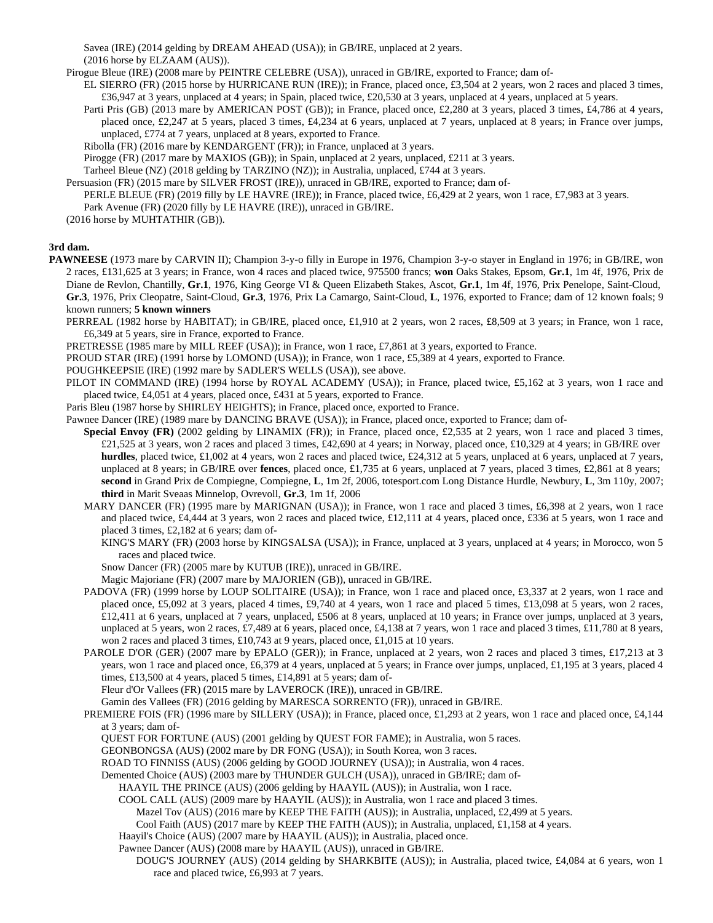Savea (IRE) (2014 gelding by DREAM AHEAD (USA)); in GB/IRE, unplaced at 2 years. (2016 horse by ELZAAM (AUS)).

Pirogue Bleue (IRE) (2008 mare by PEINTRE CELEBRE (USA)), unraced in GB/IRE, exported to France; dam of-

- EL SIERRO (FR) (2015 horse by HURRICANE RUN (IRE)); in France, placed once, £3,504 at 2 years, won 2 races and placed 3 times, £36,947 at 3 years, unplaced at 4 years; in Spain, placed twice, £20,530 at 3 years, unplaced at 4 years, unplaced at 5 years.
	- Parti Pris (GB) (2013 mare by AMERICAN POST (GB)); in France, placed once, £2,280 at 3 years, placed 3 times, £4,786 at 4 years, placed once, £2,247 at 5 years, placed 3 times, £4,234 at 6 years, unplaced at 7 years, unplaced at 8 years; in France over jumps, unplaced, £774 at 7 years, unplaced at 8 years, exported to France.
	- Ribolla (FR) (2016 mare by KENDARGENT (FR)); in France, unplaced at 3 years.

Pirogge (FR) (2017 mare by MAXIOS (GB)); in Spain, unplaced at 2 years, unplaced, £211 at 3 years.

- Tarheel Bleue (NZ) (2018 gelding by TARZINO (NZ)); in Australia, unplaced, £744 at 3 years.
- Persuasion (FR) (2015 mare by SILVER FROST (IRE)), unraced in GB/IRE, exported to France; dam of-
- PERLE BLEUE (FR) (2019 filly by LE HAVRE (IRE)); in France, placed twice, £6,429 at 2 years, won 1 race, £7,983 at 3 years. Park Avenue (FR) (2020 filly by LE HAVRE (IRE)), unraced in GB/IRE.

(2016 horse by MUHTATHIR (GB)).

## **3rd dam.**

- **PAWNEESE** (1973 mare by CARVIN II); Champion 3-y-o filly in Europe in 1976, Champion 3-y-o stayer in England in 1976; in GB/IRE, won 2 races, £131,625 at 3 years; in France, won 4 races and placed twice, 975500 francs; **won** Oaks Stakes, Epsom, **Gr.1**, 1m 4f, 1976, Prix de Diane de Revlon, Chantilly, **Gr.1**, 1976, King George VI & Queen Elizabeth Stakes, Ascot, **Gr.1**, 1m 4f, 1976, Prix Penelope, Saint-Cloud, **Gr.3**, 1976, Prix Cleopatre, Saint-Cloud, **Gr.3**, 1976, Prix La Camargo, Saint-Cloud, **L**, 1976, exported to France; dam of 12 known foals; 9 known runners; **5 known winners**
	- PERREAL (1982 horse by HABITAT); in GB/IRE, placed once, £1,910 at 2 years, won 2 races, £8,509 at 3 years; in France, won 1 race, £6,349 at 5 years, sire in France, exported to France.
	- PRETRESSE (1985 mare by MILL REEF (USA)); in France, won 1 race, £7,861 at 3 years, exported to France.
	- PROUD STAR (IRE) (1991 horse by LOMOND (USA)); in France, won 1 race, £5,389 at 4 years, exported to France.
	- POUGHKEEPSIE (IRE) (1992 mare by SADLER'S WELLS (USA)), see above.
	- PILOT IN COMMAND (IRE) (1994 horse by ROYAL ACADEMY (USA)); in France, placed twice, £5,162 at 3 years, won 1 race and placed twice, £4,051 at 4 years, placed once, £431 at 5 years, exported to France.
	- Paris Bleu (1987 horse by SHIRLEY HEIGHTS); in France, placed once, exported to France.

Pawnee Dancer (IRE) (1989 mare by DANCING BRAVE (USA)); in France, placed once, exported to France; dam of-

- **Special Envoy (FR)** (2002 gelding by LINAMIX (FR)); in France, placed once, £2,535 at 2 years, won 1 race and placed 3 times, £21,525 at 3 years, won 2 races and placed 3 times, £42,690 at 4 years; in Norway, placed once, £10,329 at 4 years; in GB/IRE over **hurdles**, placed twice, £1,002 at 4 years, won 2 races and placed twice, £24,312 at 5 years, unplaced at 6 years, unplaced at 7 years, unplaced at 8 years; in GB/IRE over **fences**, placed once, £1,735 at 6 years, unplaced at 7 years, placed 3 times, £2,861 at 8 years; **second** in Grand Prix de Compiegne, Compiegne, **L**, 1m 2f, 2006, totesport.com Long Distance Hurdle, Newbury, **L**, 3m 110y, 2007; **third** in Marit Sveaas Minnelop, Ovrevoll, **Gr.3**, 1m 1f, 2006
- MARY DANCER (FR) (1995 mare by MARIGNAN (USA)); in France, won 1 race and placed 3 times, £6,398 at 2 years, won 1 race and placed twice, £4,444 at 3 years, won 2 races and placed twice, £12,111 at 4 years, placed once, £336 at 5 years, won 1 race and placed 3 times, £2,182 at 6 years; dam of-
	- KING'S MARY (FR) (2003 horse by KINGSALSA (USA)); in France, unplaced at 3 years, unplaced at 4 years; in Morocco, won 5 races and placed twice.
	- Snow Dancer (FR) (2005 mare by KUTUB (IRE)), unraced in GB/IRE.
	- Magic Majoriane (FR) (2007 mare by MAJORIEN (GB)), unraced in GB/IRE.
- PADOVA (FR) (1999 horse by LOUP SOLITAIRE (USA)); in France, won 1 race and placed once, £3,337 at 2 years, won 1 race and placed once, £5,092 at 3 years, placed 4 times, £9,740 at 4 years, won 1 race and placed 5 times, £13,098 at 5 years, won 2 races, £12,411 at 6 years, unplaced at 7 years, unplaced, £506 at 8 years, unplaced at 10 years; in France over jumps, unplaced at 3 years, unplaced at 5 years, won 2 races, £7,489 at 6 years, placed once, £4,138 at 7 years, won 1 race and placed 3 times, £11,780 at 8 years, won 2 races and placed 3 times, £10,743 at 9 years, placed once, £1,015 at 10 years.
- PAROLE D'OR (GER) (2007 mare by EPALO (GER)); in France, unplaced at 2 years, won 2 races and placed 3 times, £17,213 at 3 years, won 1 race and placed once, £6,379 at 4 years, unplaced at 5 years; in France over jumps, unplaced, £1,195 at 3 years, placed 4 times, £13,500 at 4 years, placed 5 times, £14,891 at 5 years; dam of-

Fleur d'Or Vallees (FR) (2015 mare by LAVEROCK (IRE)), unraced in GB/IRE.

Gamin des Vallees (FR) (2016 gelding by MARESCA SORRENTO (FR)), unraced in GB/IRE.

- PREMIERE FOIS (FR) (1996 mare by SILLERY (USA)); in France, placed once, £1,293 at 2 years, won 1 race and placed once, £4,144 at 3 years; dam of-
	- QUEST FOR FORTUNE (AUS) (2001 gelding by QUEST FOR FAME); in Australia, won 5 races.
	- GEONBONGSA (AUS) (2002 mare by DR FONG (USA)); in South Korea, won 3 races.

ROAD TO FINNISS (AUS) (2006 gelding by GOOD JOURNEY (USA)); in Australia, won 4 races.

- Demented Choice (AUS) (2003 mare by THUNDER GULCH (USA)), unraced in GB/IRE; dam of-
	- HAAYIL THE PRINCE (AUS) (2006 gelding by HAAYIL (AUS)); in Australia, won 1 race.
		- COOL CALL (AUS) (2009 mare by HAAYIL (AUS)); in Australia, won 1 race and placed 3 times.
			- Mazel Tov (AUS) (2016 mare by KEEP THE FAITH (AUS)); in Australia, unplaced, £2,499 at 5 years.
				- Cool Faith (AUS) (2017 mare by KEEP THE FAITH (AUS)); in Australia, unplaced, £1,158 at 4 years.
		- Haayil's Choice (AUS) (2007 mare by HAAYIL (AUS)); in Australia, placed once.
		- Pawnee Dancer (AUS) (2008 mare by HAAYIL (AUS)), unraced in GB/IRE.
			- DOUG'S JOURNEY (AUS) (2014 gelding by SHARKBITE (AUS)); in Australia, placed twice, £4,084 at 6 years, won 1 race and placed twice, £6,993 at 7 years.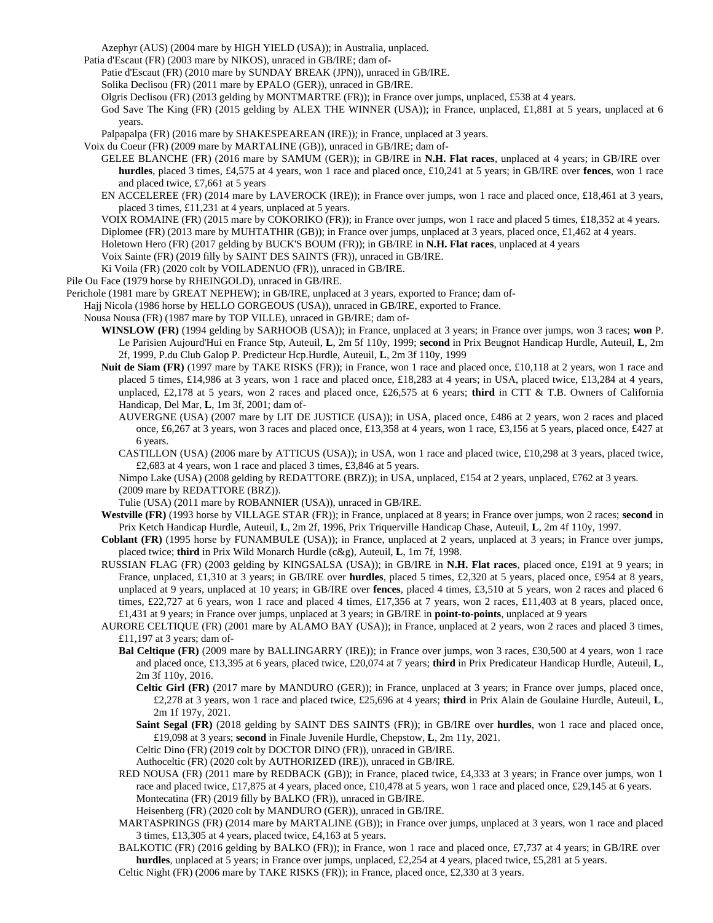Azephyr (AUS) (2004 mare by HIGH YIELD (USA)); in Australia, unplaced.

Patia d'Escaut (FR) (2003 mare by NIKOS), unraced in GB/IRE; dam of-

Patie d'Escaut (FR) (2010 mare by SUNDAY BREAK (JPN)), unraced in GB/IRE.

Solika Declisou (FR) (2011 mare by EPALO (GER)), unraced in GB/IRE.

Olgris Declisou (FR) (2013 gelding by MONTMARTRE (FR)); in France over jumps, unplaced, £538 at 4 years.

God Save The King (FR) (2015 gelding by ALEX THE WINNER (USA)); in France, unplaced, £1,881 at 5 years, unplaced at 6 years.

Palpapalpa (FR) (2016 mare by SHAKESPEAREAN (IRE)); in France, unplaced at 3 years.

Voix du Coeur (FR) (2009 mare by MARTALINE (GB)), unraced in GB/IRE; dam of-

GELEE BLANCHE (FR) (2016 mare by SAMUM (GER)); in GB/IRE in **N.H. Flat races**, unplaced at 4 years; in GB/IRE over **hurdles**, placed 3 times, £4,575 at 4 years, won 1 race and placed once, £10,241 at 5 years; in GB/IRE over **fences**, won 1 race and placed twice, £7,661 at 5 years

EN ACCELEREE (FR) (2014 mare by LAVEROCK (IRE)); in France over jumps, won 1 race and placed once, £18,461 at 3 years, placed 3 times, £11,231 at 4 years, unplaced at 5 years.

VOIX ROMAINE (FR) (2015 mare by COKORIKO (FR)); in France over jumps, won 1 race and placed 5 times, £18,352 at 4 years. Diplomee (FR) (2013 mare by MUHTATHIR (GB)); in France over jumps, unplaced at 3 years, placed once, £1,462 at 4 years.

Holetown Hero (FR) (2017 gelding by BUCK'S BOUM (FR)); in GB/IRE in **N.H. Flat races**, unplaced at 4 years

- Voix Sainte (FR) (2019 filly by SAINT DES SAINTS (FR)), unraced in GB/IRE.
- Ki Voila (FR) (2020 colt by VOILADENUO (FR)), unraced in GB/IRE.

Pile Ou Face (1979 horse by RHEINGOLD), unraced in GB/IRE.

Perichole (1981 mare by GREAT NEPHEW); in GB/IRE, unplaced at 3 years, exported to France; dam of-

Hajj Nicola (1986 horse by HELLO GORGEOUS (USA)), unraced in GB/IRE, exported to France.

Nousa Nousa (FR) (1987 mare by TOP VILLE), unraced in GB/IRE; dam of-

- **WINSLOW (FR)** (1994 gelding by SARHOOB (USA)); in France, unplaced at 3 years; in France over jumps, won 3 races; **won** P. Le Parisien Aujourd'Hui en France Stp, Auteuil, **L**, 2m 5f 110y, 1999; **second** in Prix Beugnot Handicap Hurdle, Auteuil, **L**, 2m 2f, 1999, P.du Club Galop P. Predicteur Hcp.Hurdle, Auteuil, **L**, 2m 3f 110y, 1999
- **Nuit de Siam (FR)** (1997 mare by TAKE RISKS (FR)); in France, won 1 race and placed once, £10,118 at 2 years, won 1 race and placed 5 times, £14,986 at 3 years, won 1 race and placed once, £18,283 at 4 years; in USA, placed twice, £13,284 at 4 years, unplaced, £2,178 at 5 years, won 2 races and placed once, £26,575 at 6 years; **third** in CTT & T.B. Owners of California Handicap, Del Mar, **L**, 1m 3f, 2001; dam of-
	- AUVERGNE (USA) (2007 mare by LIT DE JUSTICE (USA)); in USA, placed once, £486 at 2 years, won 2 races and placed once, £6,267 at 3 years, won 3 races and placed once, £13,358 at 4 years, won 1 race, £3,156 at 5 years, placed once, £427 at 6 years.

CASTILLON (USA) (2006 mare by ATTICUS (USA)); in USA, won 1 race and placed twice, £10,298 at 3 years, placed twice, £2,683 at 4 years, won 1 race and placed 3 times, £3,846 at 5 years.

Nimpo Lake (USA) (2008 gelding by REDATTORE (BRZ)); in USA, unplaced, £154 at 2 years, unplaced, £762 at 3 years. (2009 mare by REDATTORE (BRZ)).

Tulie (USA) (2011 mare by ROBANNIER (USA)), unraced in GB/IRE.

**Westville (FR)** (1993 horse by VILLAGE STAR (FR)); in France, unplaced at 8 years; in France over jumps, won 2 races; **second** in Prix Ketch Handicap Hurdle, Auteuil, **L**, 2m 2f, 1996, Prix Triquerville Handicap Chase, Auteuil, **L**, 2m 4f 110y, 1997.

- **Coblant (FR)** (1995 horse by FUNAMBULE (USA)); in France, unplaced at 2 years, unplaced at 3 years; in France over jumps, placed twice; **third** in Prix Wild Monarch Hurdle (c&g), Auteuil, **L**, 1m 7f, 1998.
- RUSSIAN FLAG (FR) (2003 gelding by KINGSALSA (USA)); in GB/IRE in **N.H. Flat races**, placed once, £191 at 9 years; in France, unplaced, £1,310 at 3 years; in GB/IRE over **hurdles**, placed 5 times, £2,320 at 5 years, placed once, £954 at 8 years, unplaced at 9 years, unplaced at 10 years; in GB/IRE over **fences**, placed 4 times, £3,510 at 5 years, won 2 races and placed 6 times, £22,727 at 6 years, won 1 race and placed 4 times, £17,356 at 7 years, won 2 races, £11,403 at 8 years, placed once, £1,431 at 9 years; in France over jumps, unplaced at 3 years; in GB/IRE in **point-to-points**, unplaced at 9 years
- AURORE CELTIQUE (FR) (2001 mare by ALAMO BAY (USA)); in France, unplaced at 2 years, won 2 races and placed 3 times, £11,197 at 3 years; dam of-
	- **Bal Celtique (FR)** (2009 mare by BALLINGARRY (IRE)); in France over jumps, won 3 races, £30,500 at 4 years, won 1 race and placed once, £13,395 at 6 years, placed twice, £20,074 at 7 years; **third** in Prix Predicateur Handicap Hurdle, Auteuil, **L**, 2m 3f 110y, 2016.
		- **Celtic Girl (FR)** (2017 mare by MANDURO (GER)); in France, unplaced at 3 years; in France over jumps, placed once, £2,278 at 3 years, won 1 race and placed twice, £25,696 at 4 years; **third** in Prix Alain de Goulaine Hurdle, Auteuil, **L**, 2m 1f 197y, 2021.
		- **Saint Segal (FR)** (2018 gelding by SAINT DES SAINTS (FR)); in GB/IRE over **hurdles**, won 1 race and placed once, £19,098 at 3 years; **second** in Finale Juvenile Hurdle, Chepstow, **L**, 2m 11y, 2021.

Celtic Dino (FR) (2019 colt by DOCTOR DINO (FR)), unraced in GB/IRE.

Authoceltic (FR) (2020 colt by AUTHORIZED (IRE)), unraced in GB/IRE.

RED NOUSA (FR) (2011 mare by REDBACK (GB)); in France, placed twice, £4,333 at 3 years; in France over jumps, won 1 race and placed twice, £17,875 at 4 years, placed once, £10,478 at 5 years, won 1 race and placed once, £29,145 at 6 years. Montecatina (FR) (2019 filly by BALKO (FR)), unraced in GB/IRE.

Heisenberg (FR) (2020 colt by MANDURO (GER)), unraced in GB/IRE.

MARTASPRINGS (FR) (2014 mare by MARTALINE (GB)); in France over jumps, unplaced at 3 years, won 1 race and placed 3 times, £13,305 at 4 years, placed twice, £4,163 at 5 years.

BALKOTIC (FR) (2016 gelding by BALKO (FR)); in France, won 1 race and placed once, £7,737 at 4 years; in GB/IRE over **hurdles**, unplaced at 5 years; in France over jumps, unplaced, £2,254 at 4 years, placed twice, £5,281 at 5 years.

Celtic Night (FR) (2006 mare by TAKE RISKS (FR)); in France, placed once, £2,330 at 3 years.